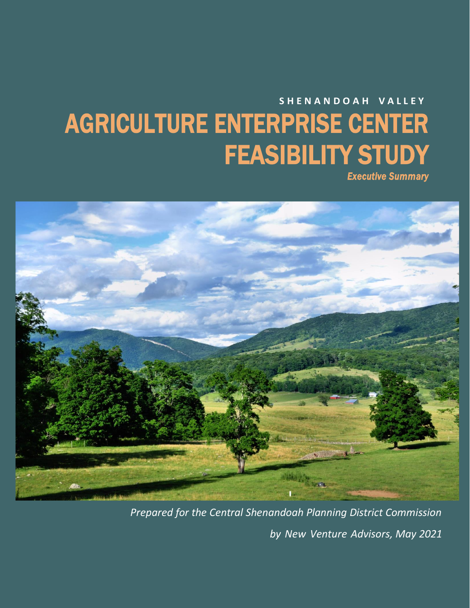# **S H E N A N D O A H V A L L E Y**  AGRICULTURE ENTERPRISE CENTER FEASIBILITY STUDY

*Executive Summary* 



*Prepared for the Central Shenandoah Planning District Commission by New Venture Advisors, May 2021*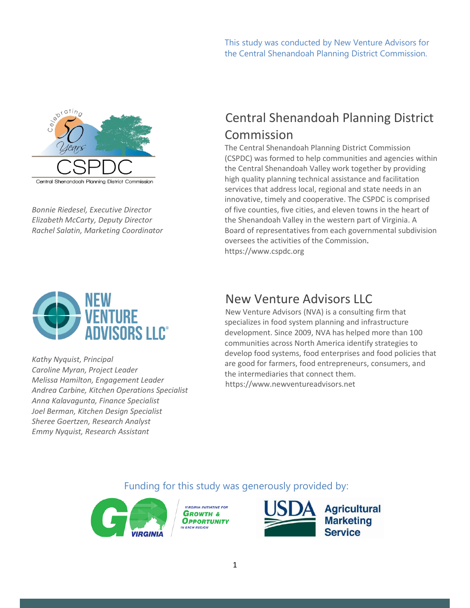This study was conducted by New Venture Advisors for the Central Shenandoah Planning District Commission.



*Bonnie Riedesel, Executive Director Elizabeth McCarty, Deputy Director Rachel Salatin, Marketing Coordinator*



*Kathy Nyquist, Principal Caroline Myran, Project Leader Melissa Hamilton, Engagement Leader Andrea Carbine, Kitchen Operations Specialist Anna Kalavagunta, Finance Specialist Joel Berman, Kitchen Design Specialist Sheree Goertzen, Research Analyst Emmy Nyquist, Research Assistant*

### Central Shenandoah Planning District **Commission**

The Central Shenandoah Planning District Commission (CSPDC) was formed to help communities and agencies within the Central Shenandoah Valley work together by providing high quality planning technical assistance and facilitation services that address local, regional and state needs in an innovative, timely and cooperative. The CSPDC is comprised of five counties, five cities, and eleven towns in the heart of the Shenandoah Valley in the western part of Virginia. A Board of representatives from each governmental subdivision oversees the activities of the Commission. https://www.cspdc.org

#### New Venture Advisors LLC

New Venture Advisors (NVA) is a consulting firm that specializes in food system planning and infrastructure development. Since 2009, NVA has helped more than 100 communities across North America identify strategies to develop food systems, food enterprises and food policies that are good for farmers, food entrepreneurs, consumers, and the intermediaries that connect them. https://www.newventureadvisors.net

#### Funding for this study was generously provided by:



**VIRGINIA INITIATIVE FOR GROWTH & OPPORTUNITY** 

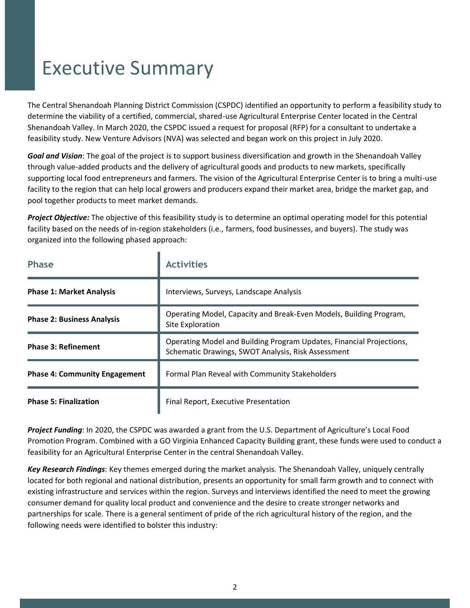## Executive Summary

The Central Shenandoah Planning District Commission (CSPDC) identified an opportunity to perform a feasibility study to determine the viability of a certified, commercial, shared-use Agricultural Enterprise Center located in the Central Shenandoah Valley. In March 2020, the CSPDC issued a request for proposal (RFP) for a consultant to undertake a feasibility study. New Venture Advisors (NVA) was selected and began work on this project in July 2020.

*Goal and Vision*: The goal of the project is to support business diversification and growth in the Shenandoah Valley through value-added products and the delivery of agricultural goods and products to new markets, specifically supporting local food entrepreneurs and farmers. The vision of the Agricultural Enterprise Center is to bring a multi-use facility to the region that can help local growers and producers expand their market area, bridge the market gap, and pool together products to meet market demands.

*Project Objective:* The objective of this feasibility study is to determine an optimal operating model for this potential facility based on the needs of in-region stakeholders (i.e., farmers, food businesses, and buyers). The study was organized into the following phased approach:

| <b>Phase</b>                         | <b>Activities</b>                                                                                                          |  |  |  |
|--------------------------------------|----------------------------------------------------------------------------------------------------------------------------|--|--|--|
| <b>Phase 1: Market Analysis</b>      | Interviews, Surveys, Landscape Analysis                                                                                    |  |  |  |
| <b>Phase 2: Business Analysis</b>    | Operating Model, Capacity and Break-Even Models, Building Program,<br>Site Exploration                                     |  |  |  |
| <b>Phase 3: Refinement</b>           | Operating Model and Building Program Updates, Financial Projections,<br>Schematic Drawings, SWOT Analysis, Risk Assessment |  |  |  |
| <b>Phase 4: Community Engagement</b> | Formal Plan Reveal with Community Stakeholders                                                                             |  |  |  |
| <b>Phase 5: Finalization</b>         | Final Report, Executive Presentation                                                                                       |  |  |  |

*Project Funding*: In 2020, the CSPDC was awarded a grant from the U.S. Department of Agriculture's Local Food Promotion Program. Combined with a GO Virginia Enhanced Capacity Building grant, these funds were used to conduct a feasibility for an Agricultural Enterprise Center in the central Shenandoah Valley.

*Key Research Findings*: Key themes emerged during the market analysis. The Shenandoah Valley, uniquely centrally located for both regional and national distribution, presents an opportunity for small farm growth and to connect with existing infrastructure and services within the region. Surveys and interviews identified the need to meet the growing consumer demand for quality local product and convenience and the desire to create stronger networks and partnerships for scale. There is a general sentiment of pride of the rich agricultural history of the region, and the following needs were identified to bolster this industry: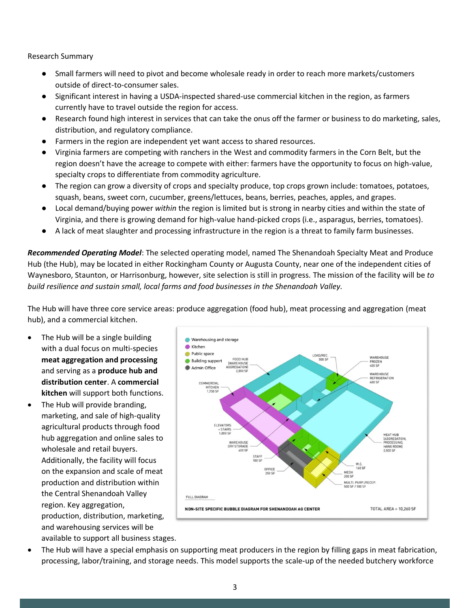Research Summary

- Small farmers will need to pivot and become wholesale ready in order to reach more markets/customers outside of direct-to-consumer sales.
- Significant interest in having a USDA-inspected shared-use commercial kitchen in the region, as farmers currently have to travel outside the region for access.
- Research found high interest in services that can take the onus off the farmer or business to do marketing, sales, distribution, and regulatory compliance.
- Farmers in the region are independent yet want access to shared resources.
- Virginia farmers are competing with ranchers in the West and commodity farmers in the Corn Belt, but the region doesn't have the acreage to compete with either: farmers have the opportunity to focus on high-value, specialty crops to differentiate from commodity agriculture.
- The region can grow a diversity of crops and specialty produce, top crops grown include: tomatoes, potatoes, squash, beans, sweet corn, cucumber, greens/lettuces, beans, berries, peaches, apples, and grapes.
- Local demand/buying power *within* the region is limited but is strong in nearby cities and within the state of Virginia, and there is growing demand for high-value hand-picked crops (i.e., asparagus, berries, tomatoes).
- A lack of meat slaughter and processing infrastructure in the region is a threat to family farm businesses.

*Recommended Operating Model*: The selected operating model, named The Shenandoah Specialty Meat and Produce Hub (the Hub), may be located in either Rockingham County or Augusta County, near one of the independent cities of Waynesboro, Staunton, or Harrisonburg, however, site selection is still in progress. The mission of the facility will be *to build resilience and sustain small, local farms and food businesses in the Shenandoah Valley.* 

The Hub will have three core service areas: produce aggregation (food hub), meat processing and aggregation (meat hub), and a commercial kitchen.

- The Hub will be a single building with a dual focus on multi-species **meat aggregation and processing** and serving as a **produce hub and distribution center**. A **commercial kitchen** will support both functions.
- The Hub will provide branding, marketing, and sale of high-quality agricultural products through food hub aggregation and online sales to wholesale and retail buyers. Additionally, the facility will focus on the expansion and scale of meat production and distribution within the Central Shenandoah Valley region. Key aggregation, production, distribution, marketing, and warehousing services will be available to support all business stages.



• The Hub will have a special emphasis on supporting meat producers in the region by filling gaps in meat fabrication, processing, labor/training, and storage needs. This model supports the scale-up of the needed butchery workforce